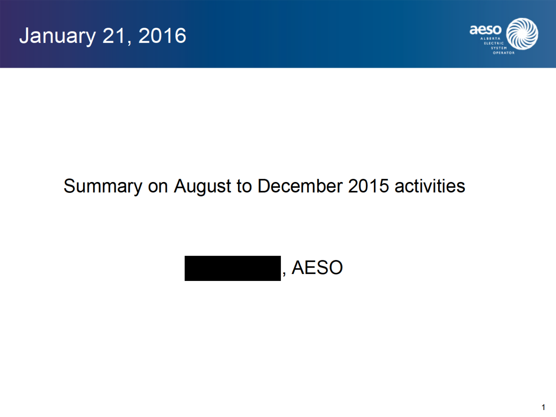



## Summary on August to December 2015 activities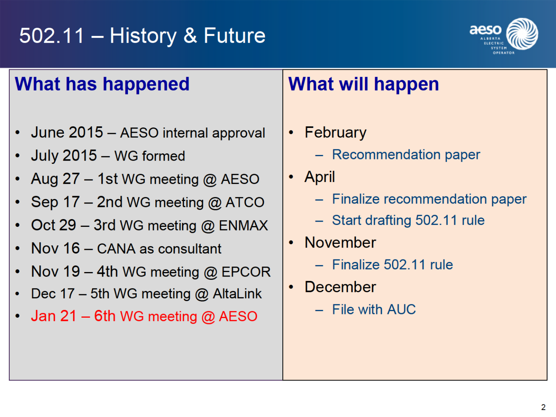## $502.11 - History & Future$



## **What has happened**

- June 2015 AESO internal approval
- July 2015 WG formed
- Aug 27  $-$  1st WG meeting @ AESO
- Sep 17 2nd WG meeting @ ATCO
- Oct 29 3rd WG meeting @ ENMAX
- Nov 16 CANA as consultant
- Nov 19 4th WG meeting  $@$  EPCOR
- Dec 17 5th WG meeting  $@$  AltaLink
- Jan 21 6th WG meeting  $@$  AESO

## **What will happen**

- February
	- Recommendation paper
- April
	- Finalize recommendation paper
	- Start drafting 502.11 rule
- November
	- $-$  Finalize 502.11 rule
- December
	- $-$  File with AUC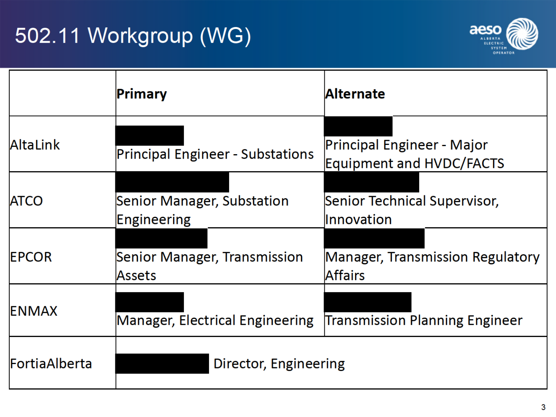# 502.11 Workgroup (WG)



|               | Primary                                   | <b>Alternate</b>                                              |
|---------------|-------------------------------------------|---------------------------------------------------------------|
| AltaLink      | <b>Principal Engineer - Substations</b>   | Principal Engineer - Major<br><b>Equipment and HVDC/FACTS</b> |
| <b>ATCO</b>   | Senior Manager, Substation<br>Engineering | Senior Technical Supervisor,<br><b>Innovation</b>             |
| <b>EPCOR</b>  | Senior Manager, Transmission<br>Assets    | Manager, Transmission Regulatory<br>Affairs                   |
| <b>IENMAX</b> | Manager, Electrical Engineering           | <b>Transmission Planning Engineer</b>                         |
| FortiaAlberta | Director, Engineering                     |                                                               |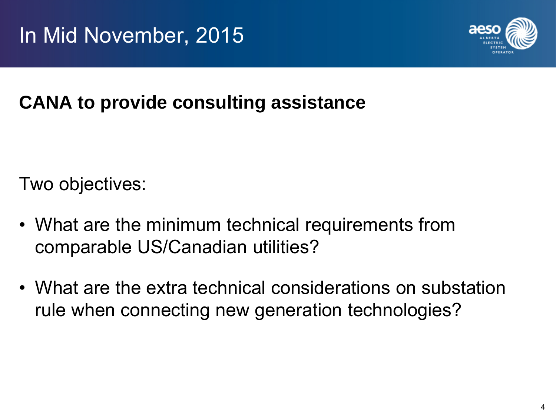

## **CANA to provide consulting assistance**

Two objectives:

- What are the minimum technical requirements from comparable US/Canadian utilities?
- What are the extra technical considerations on substation rule when connecting new generation technologies?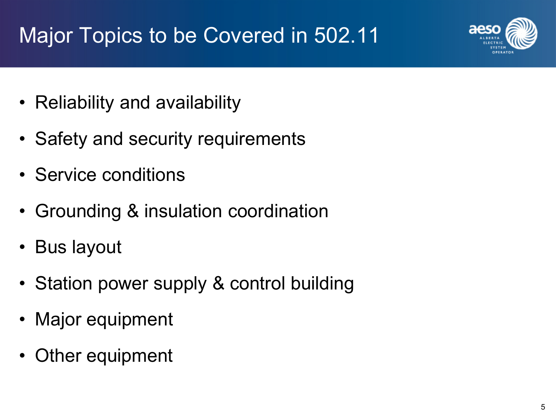# Major Topics to be Covered in 502.11



- Reliability and availability
- Safety and security requirements
- Service conditions
- Grounding & insulation coordination
- Bus layout
- Station power supply & control building
- Major equipment
- Other equipment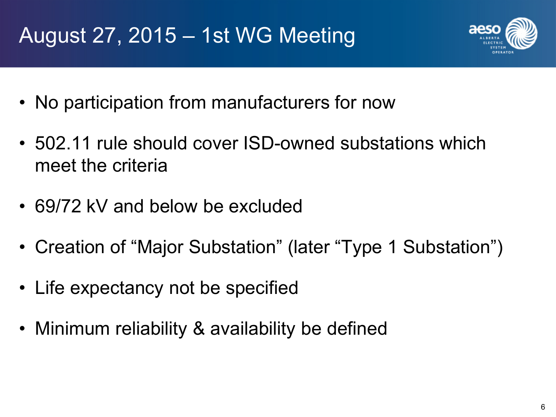# August 27, 2015 – 1st WG Meeting



- No participation from manufacturers for now
- 502.11 rule should cover ISD-owned substations which meet the criteria
- 69/72 kV and below be excluded
- Creation of "Major Substation" (later "Type 1 Substation")
- Life expectancy not be specified
- Minimum reliability & availability be defined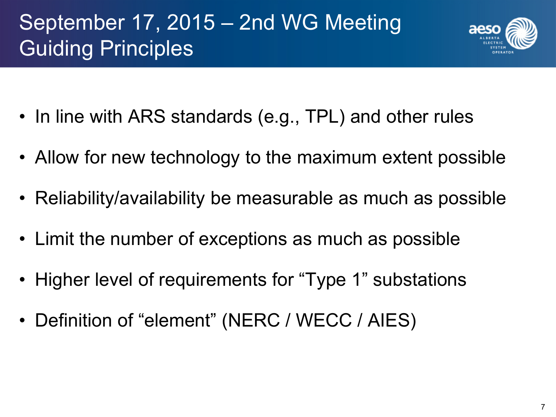# September 17, 2015 – 2nd WG Meeting Guiding Principles



- In line with ARS standards (e.g., TPL) and other rules
- Allow for new technology to the maximum extent possible
- Reliability/availability be measurable as much as possible
- Limit the number of exceptions as much as possible
- Higher level of requirements for "Type 1" substations
- Definition of "element" (NERC / WECC / AIES)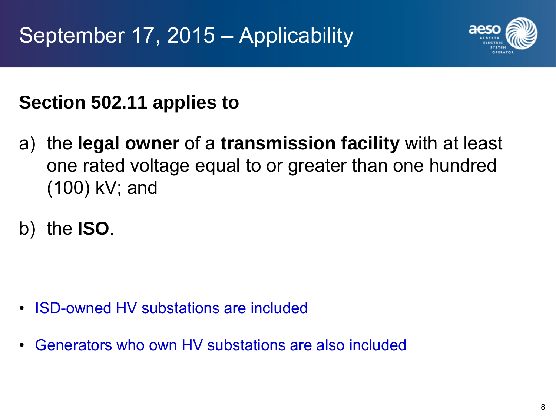

## **Section 502.11 applies to**

- a) the **legal owner** of a **transmission facility** with at least one rated voltage equal to or greater than one hundred (100) kV; and
- b) the **ISO**.

- ISD-owned HV substations are included
- Generators who own HV substations are also included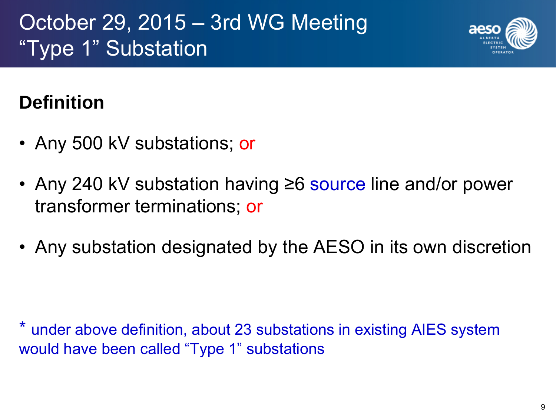October 29, 2015 – 3rd WG Meeting "Type 1" Substation



## **Definition**

- Any 500 kV substations; or
- Any 240 kV substation having ≥6 source line and/or power transformer terminations; or
- Any substation designated by the AESO in its own discretion

\* under above definition, about 23 substations in existing AIES system would have been called "Type 1" substations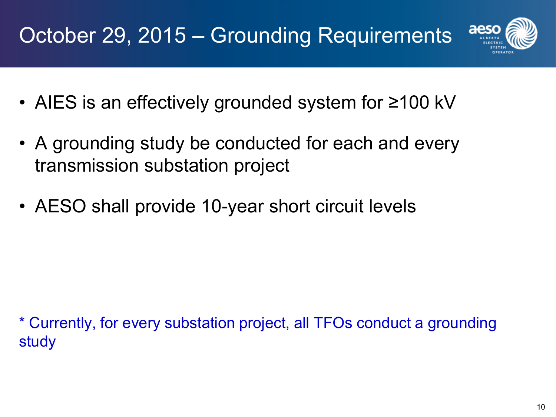

- AIES is an effectively grounded system for ≥100 kV
- A grounding study be conducted for each and every transmission substation project
- AESO shall provide 10-year short circuit levels

\* Currently, for every substation project, all TFOs conduct a grounding study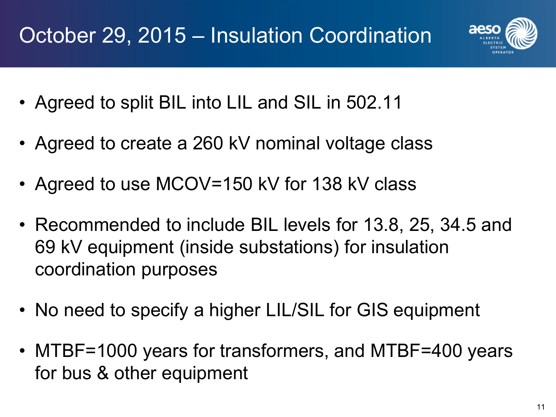

- Agreed to split BIL into LIL and SIL in 502.11
- Agreed to create a 260 kV nominal voltage class
- Agreed to use MCOV=150 kV for 138 kV class
- Recommended to include BIL levels for 13.8, 25, 34.5 and 69 kV equipment (inside substations) for insulation coordination purposes
- No need to specify a higher LIL/SIL for GIS equipment
- MTBF=1000 years for transformers, and MTBF=400 years for bus & other equipment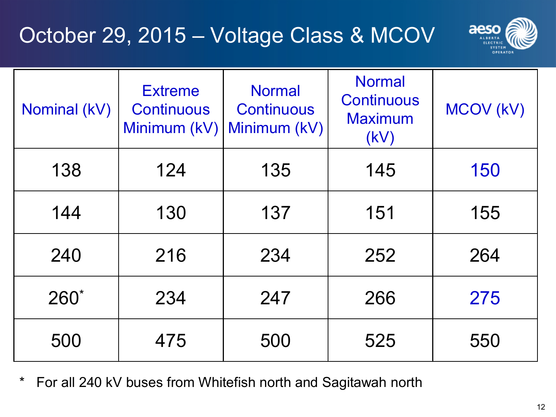## October 29, 2015 – Voltage Class & MCOV



| Nominal (kV) | <b>Extreme</b><br><b>Continuous</b><br>Minimum (kV) | <b>Normal</b><br><b>Continuous</b><br>Minimum (kV) | <b>Normal</b><br><b>Continuous</b><br><b>Maximum</b><br>(kV) | MCOV (kV) |
|--------------|-----------------------------------------------------|----------------------------------------------------|--------------------------------------------------------------|-----------|
| 138          | 124                                                 | 135                                                | 145                                                          | 150       |
| 144          | 130                                                 | 137                                                | 151                                                          | 155       |
| 240          | 216                                                 | 234                                                | 252                                                          | 264       |
| $260^*$      | 234                                                 | 247                                                | 266                                                          | 275       |
| 500          | 475                                                 | 500                                                | 525                                                          | 550       |

\* For all 240 kV buses from Whitefish north and Sagitawah north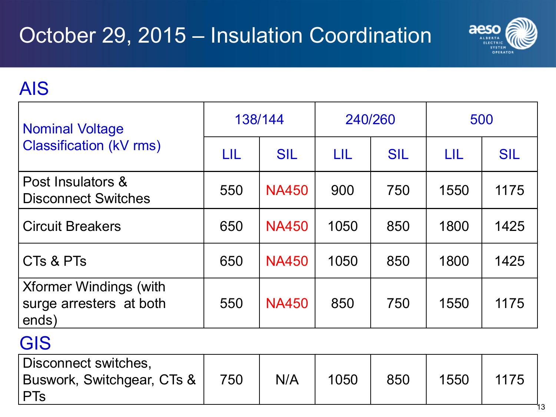

#### AIS

| <b>Nominal Voltage</b>                                            | 138/144 |              | 240/260 |            | 500  |            |
|-------------------------------------------------------------------|---------|--------------|---------|------------|------|------------|
| <b>Classification (kV rms)</b>                                    | LIL     | <b>SIL</b>   | LIL     | <b>SIL</b> | LIL  | <b>SIL</b> |
| Post Insulators &<br><b>Disconnect Switches</b>                   | 550     | <b>NA450</b> | 900     | 750        | 1550 | 1175       |
| <b>Circuit Breakers</b>                                           | 650     | <b>NA450</b> | 1050    | 850        | 1800 | 1425       |
| CTs & PTs                                                         | 650     | <b>NA450</b> | 1050    | 850        | 1800 | 1425       |
| <b>Xformer Windings (with</b><br>surge arresters at both<br>ends) | 550     | <b>NA450</b> | 850     | 750        | 1550 | 1175       |

#### GIS

| Disconnect switches,<br>Buswork, Switchgear, CTs & | 750 | N/A | 1050 | 850 | 1550 | 1175 |
|----------------------------------------------------|-----|-----|------|-----|------|------|
| l PTs                                              |     |     |      |     |      |      |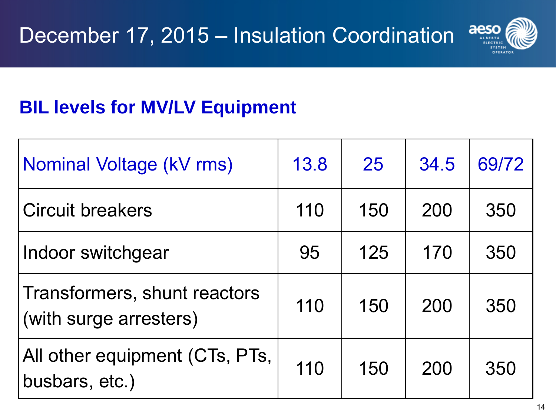

## **BIL levels for MV/LV Equipment**

| Nominal Voltage (kV rms)                               | 13.8 | 25  | 34.5 | 69/72 |
|--------------------------------------------------------|------|-----|------|-------|
| <b>Circuit breakers</b>                                | 110  | 150 | 200  | 350   |
| Indoor switchgear                                      | 95   | 125 | 170  | 350   |
| Transformers, shunt reactors<br>(with surge arresters) | 110  | 150 | 200  | 350   |
| All other equipment (CTs, PTs,<br>busbars, etc.)       | 110  | 150 | 200  | 350   |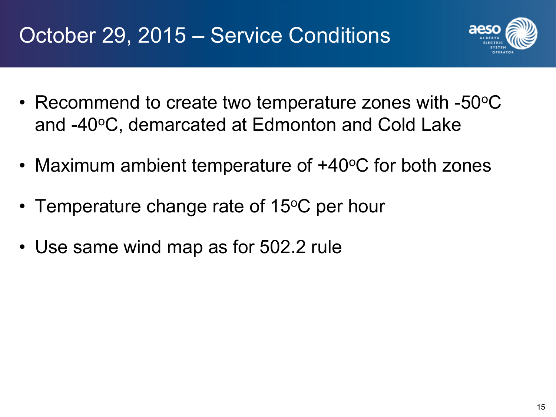

- Recommend to create two temperature zones with -50°C and -40°C, demarcated at Edmonton and Cold Lake
- Maximum ambient temperature of +40°C for both zones
- Temperature change rate of 15 $\degree$ C per hour
- Use same wind map as for 502.2 rule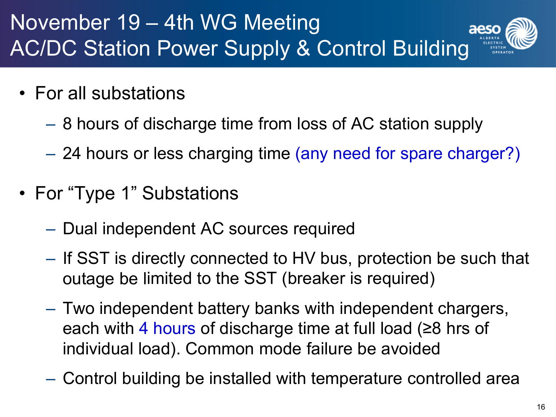#### November 19 – 4th WG Meeting aeso AC/DC Station Power Supply & Control Building

- For all substations
	- 8 hours of discharge time from loss of AC station supply
	- 24 hours or less charging time (any need for spare charger?)
- For "Type 1" Substations
	- Dual independent AC sources required
	- If SST is directly connected to HV bus, protection be such that outage be limited to the SST (breaker is required)
	- Two independent battery banks with independent chargers, each with 4 hours of discharge time at full load (≥8 hrs of individual load). Common mode failure be avoided
	- Control building be installed with temperature controlled area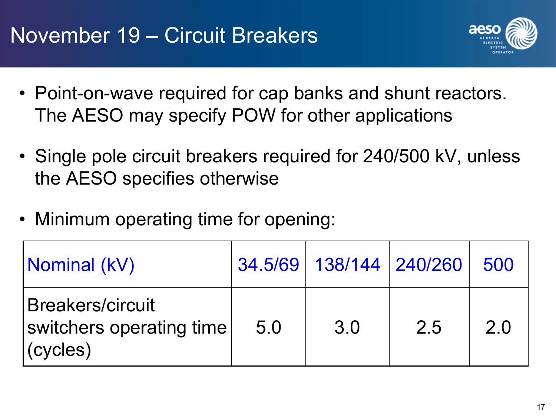

- Point-on-wave required for cap banks and shunt reactors. The AESO may specify POW for other applications
- Single pole circuit breakers required for 240/500 kV, unless the AESO specifies otherwise
- Minimum operating time for opening:

| Nominal (kV)                                                    |     | 34.5/69   138/144   240/260 |     | 500 |
|-----------------------------------------------------------------|-----|-----------------------------|-----|-----|
| <b>Breakers/circuit</b><br>switchers operating time<br>(cycles) | 5.0 | 3.0                         | 2.5 | 2.0 |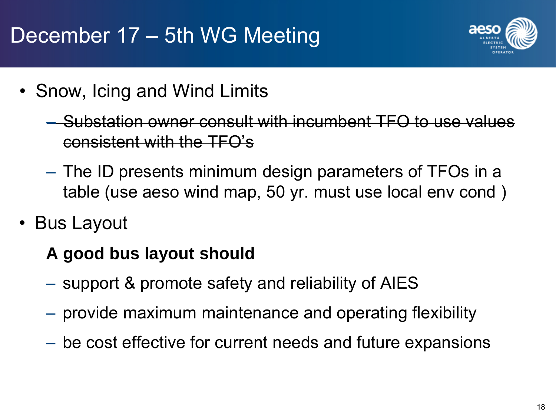

- Snow, Icing and Wind Limits
	- Substation owner consult with incumbent TFO to use values consistent with the TFO's
	- The ID presents minimum design parameters of TFOs in a table (use aeso wind map, 50 yr. must use local env cond )
- Bus Layout

### **A good bus layout should**

- support & promote safety and reliability of AIES
- provide maximum maintenance and operating flexibility
- be cost effective for current needs and future expansions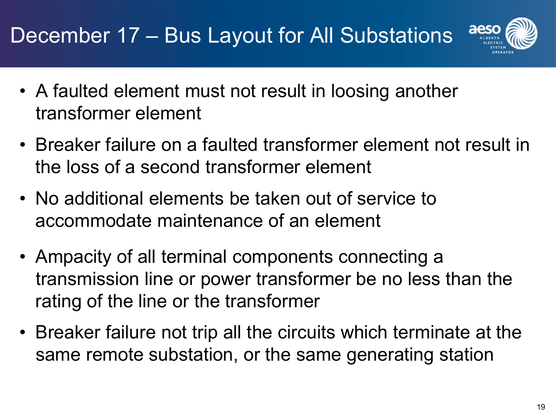# December 17 – Bus Layout for All Substations



- A faulted element must not result in loosing another transformer element
- Breaker failure on a faulted transformer element not result in the loss of a second transformer element
- No additional elements be taken out of service to accommodate maintenance of an element
- Ampacity of all terminal components connecting a transmission line or power transformer be no less than the rating of the line or the transformer
- Breaker failure not trip all the circuits which terminate at the same remote substation, or the same generating station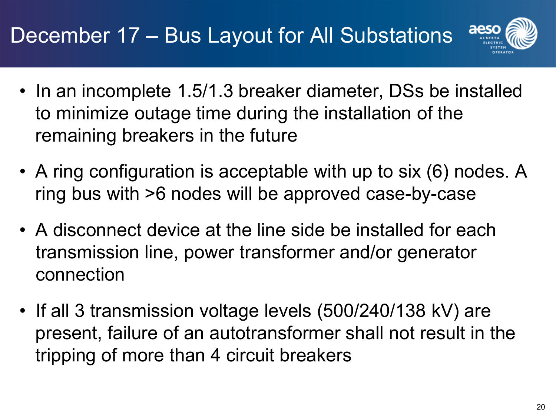

- In an incomplete 1.5/1.3 breaker diameter, DSs be installed to minimize outage time during the installation of the remaining breakers in the future
- A ring configuration is acceptable with up to six (6) nodes. A ring bus with >6 nodes will be approved case-by-case
- A disconnect device at the line side be installed for each transmission line, power transformer and/or generator connection
- If all 3 transmission voltage levels (500/240/138 kV) are present, failure of an autotransformer shall not result in the tripping of more than 4 circuit breakers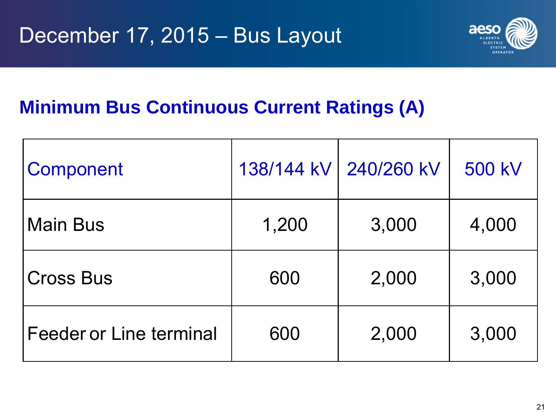

## **Minimum Bus Continuous Current Ratings (A)**

| Component                      | 138/144 kV | 240/260 kV | 500 kV |
|--------------------------------|------------|------------|--------|
| <b>Main Bus</b>                | 1,200      | 3,000      | 4,000  |
| <b>Cross Bus</b>               | 600        | 2,000      | 3,000  |
| <b>Feeder or Line terminal</b> | 600        | 2,000      | 3,000  |